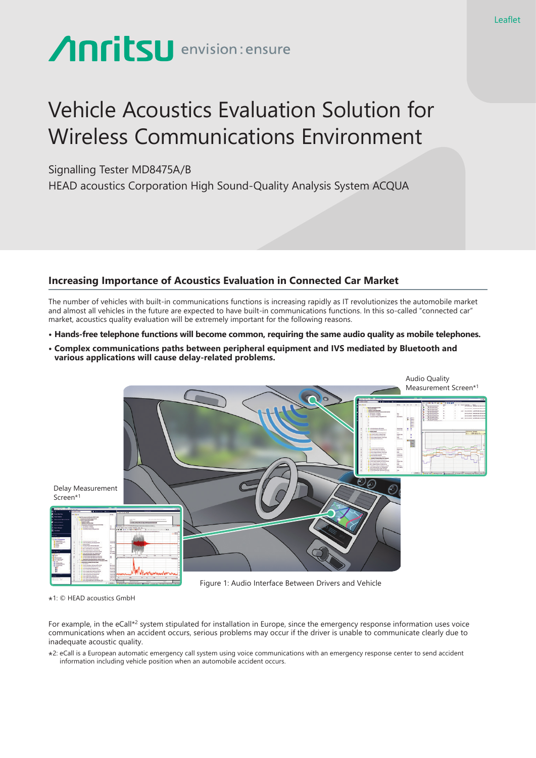# **Anritsu** envision: ensure

# Vehicle Acoustics Evaluation Solution for Wireless Communications Environment

## Signalling Tester MD8475A/B

HEAD acoustics Corporation High Sound-Quality Analysis System ACQUA

### **Increasing Importance of Acoustics Evaluation in Connected Car Market**

The number of vehicles with built-in communications functions is increasing rapidly as IT revolutionizes the automobile market and almost all vehicles in the future are expected to have built-in communications functions. In this so-called "connected car" market, acoustics quality evaluation will be extremely important for the following reasons.

- **Hands-free telephone functions will become common, requiring the same audio quality as mobile telephones.**
- **Complex communications paths between peripheral equipment and IVS mediated by Bluetooth and various applications will cause delay-related problems.**



\*1: © HEAD acoustics GmbH

For example, in the eCall\*<sup>2</sup> system stipulated for installation in Europe, since the emergency response information uses voice communications when an accident occurs, serious problems may occur if the driver is unable to communicate clearly due to inadequate acoustic quality.

\*2: eCall is a European automatic emergency call system using voice communications with an emergency response center to send accident information including vehicle position when an automobile accident occurs.

Leaflet